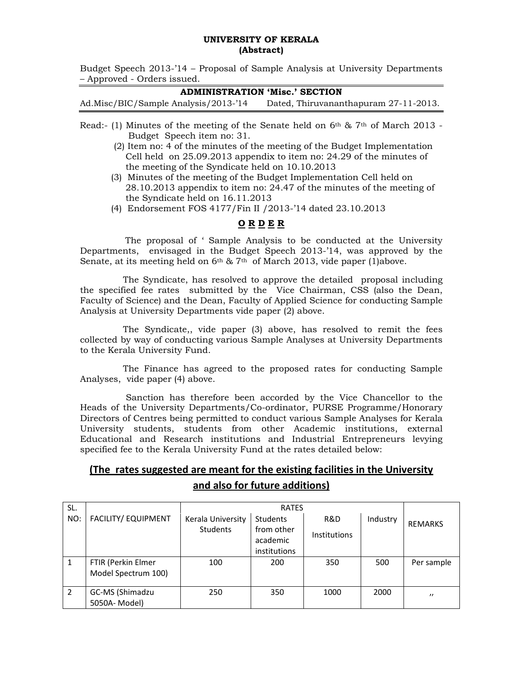#### **UNIVERSITY OF KERALA (Abstract)**

Budget Speech 2013-'14 – Proposal of Sample Analysis at University Departments – Approved - Orders issued.

#### **ADMINISTRATION 'Misc.' SECTION**

Ad.Misc/BIC/Sample Analysis/2013-'14 Dated, Thiruvananthapuram 27-11-2013.

- Read:- (1) Minutes of the meeting of the Senate held on  $6<sup>th</sup>$  &  $7<sup>th</sup>$  of March 2013 - Budget Speech item no: 31.
	- (2) Item no: 4 of the minutes of the meeting of the Budget Implementation Cell held on 25.09.2013 appendix to item no: 24.29 of the minutes of the meeting of the Syndicate held on 10.10.2013
	- (3) Minutes of the meeting of the Budget Implementation Cell held on 28.10.2013 appendix to item no: 24.47 of the minutes of the meeting of the Syndicate held on 16.11.2013
	- (4) Endorsement FOS 4177/Fin II /2013-'14 dated 23.10.2013

### **O R D E R**

 The proposal of ' Sample Analysis to be conducted at the University Departments, envisaged in the Budget Speech 2013-'14, was approved by the Senate, at its meeting held on  $6<sup>th</sup>$  & 7<sup>th</sup> of March 2013, vide paper (1)above.

 The Syndicate, has resolved to approve the detailed proposal including the specified fee rates submitted by the Vice Chairman, CSS (also the Dean, Faculty of Science) and the Dean, Faculty of Applied Science for conducting Sample Analysis at University Departments vide paper (2) above.

 The Syndicate,, vide paper (3) above, has resolved to remit the fees collected by way of conducting various Sample Analyses at University Departments to the Kerala University Fund.

 The Finance has agreed to the proposed rates for conducting Sample Analyses, vide paper (4) above.

 Sanction has therefore been accorded by the Vice Chancellor to the Heads of the University Departments/Co-ordinator, PURSE Programme/Honorary Directors of Centres being permitted to conduct various Sample Analyses for Kerala University students, students from other Academic institutions, external Educational and Research institutions and Industrial Entrepreneurs levying specified fee to the Kerala University Fund at the rates detailed below:

# **(The rates suggested are meant for the existing facilities in the University and also for future additions)**

| SL. |                            | <b>RATES</b>      |                        |                     |          |                |
|-----|----------------------------|-------------------|------------------------|---------------------|----------|----------------|
| NO: | <b>FACILITY/ EQUIPMENT</b> | Kerala University | <b>Students</b>        | R&D                 | Industry | <b>REMARKS</b> |
|     |                            | <b>Students</b>   | from other<br>academic | <b>Institutions</b> |          |                |
|     |                            |                   | institutions           |                     |          |                |
| 1   | FTIR (Perkin Elmer         | 100               | 200                    | 350                 | 500      | Per sample     |
|     | Model Spectrum 100)        |                   |                        |                     |          |                |
| 2   | GC-MS (Shimadzu            | 250               | 350                    | 1000                | 2000     | $^{\prime}$    |
|     | 5050A- Model)              |                   |                        |                     |          |                |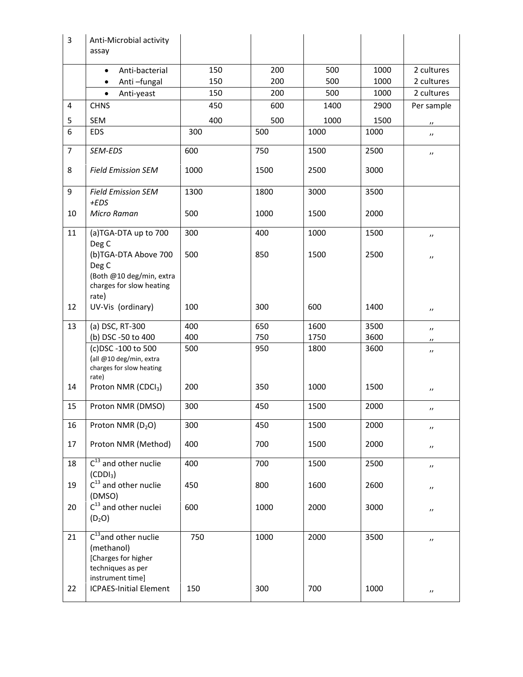| $\overline{3}$ | Anti-Microbial activity<br>assay                                                                                                         |                   |                   |                      |                      |                                                             |
|----------------|------------------------------------------------------------------------------------------------------------------------------------------|-------------------|-------------------|----------------------|----------------------|-------------------------------------------------------------|
|                | Anti-bacterial                                                                                                                           | 150               | 200               | 500                  | 1000                 | 2 cultures                                                  |
|                | Anti-fungal<br>$\bullet$                                                                                                                 | 150               | 200               | 500                  | 1000                 | 2 cultures                                                  |
|                | Anti-yeast<br>$\bullet$                                                                                                                  | 150               | 200               | 500                  | 1000                 | 2 cultures                                                  |
| 4              | <b>CHNS</b>                                                                                                                              | 450               | 600               | 1400                 | 2900                 | Per sample                                                  |
| 5              | <b>SEM</b>                                                                                                                               | 400               | 500               | 1000                 | 1500                 | $\boldsymbol{\prime}$                                       |
| 6              | <b>EDS</b>                                                                                                                               | 300               | 500               | 1000                 | 1000                 | $^{\prime\prime}$                                           |
| $\overline{7}$ | SEM-EDS                                                                                                                                  | 600               | 750               | 1500                 | 2500                 | $\overline{\phantom{a}}$                                    |
| 8              | <b>Field Emission SEM</b>                                                                                                                | 1000              | 1500              | 2500                 | 3000                 |                                                             |
| 9              | <b>Field Emission SEM</b><br>$+EDS$                                                                                                      | 1300              | 1800              | 3000                 | 3500                 |                                                             |
| 10             | Micro Raman                                                                                                                              | 500               | 1000              | 1500                 | 2000                 |                                                             |
| 11             | (a)TGA-DTA up to 700<br>Deg C                                                                                                            | 300               | 400               | 1000                 | 1500                 | $\boldsymbol{\prime}$                                       |
|                | (b)TGA-DTA Above 700<br>Deg C<br>(Both @10 deg/min, extra<br>charges for slow heating<br>rate)                                           | 500               | 850               | 1500                 | 2500                 | $\boldsymbol{\prime}$                                       |
| 12             | UV-Vis (ordinary)                                                                                                                        | 100               | 300               | 600                  | 1400                 | $\boldsymbol{\prime}$                                       |
| 13             | (a) DSC, RT-300<br>(b) DSC -50 to 400<br>(c)DSC -100 to 500<br>(all @10 deg/min, extra<br>charges for slow heating<br>rate)              | 400<br>400<br>500 | 650<br>750<br>950 | 1600<br>1750<br>1800 | 3500<br>3600<br>3600 | $^{\prime\prime}$<br>$^{\prime\prime}$<br>$^{\prime\prime}$ |
| 14             | Proton NMR (CDCl <sub>3</sub> )                                                                                                          | 200               | 350               | 1000                 | 1500                 | $\boldsymbol{\prime}$                                       |
| 15             | Proton NMR (DMSO)                                                                                                                        | 300               | 450               | 1500                 | 2000                 | $^{\prime\prime}$                                           |
| 16             | Proton NMR (D <sub>2</sub> O)                                                                                                            | 300               | 450               | 1500                 | 2000                 | $\boldsymbol{\prime}$                                       |
| 17             | Proton NMR (Method)                                                                                                                      | 400               | 700               | 1500                 | 2000                 | $\boldsymbol{\prime}$                                       |
| 18             | $C^{13}$ and other nuclie<br>(CDDI <sub>3</sub> )                                                                                        | 400               | 700               | 1500                 | 2500                 | $\boldsymbol{\prime}$                                       |
| 19             | $C^{13}$ and other nuclie<br>(DMSO)                                                                                                      | 450               | 800               | 1600                 | 2600                 | $\boldsymbol{\prime}$                                       |
| 20             | $C^{13}$ and other nuclei<br>$(D_2O)$                                                                                                    | 600               | 1000              | 2000                 | 3000                 | $\boldsymbol{\prime}$                                       |
| 21<br>22       | $C^{13}$ and other nuclie<br>(methanol)<br>[Charges for higher<br>techniques as per<br>instrument time]<br><b>ICPAES-Initial Element</b> | 750<br>150        | 1000<br>300       | 2000<br>700          | 3500<br>1000         | $^{\prime}$                                                 |
|                |                                                                                                                                          |                   |                   |                      |                      | $\boldsymbol{\prime}$                                       |